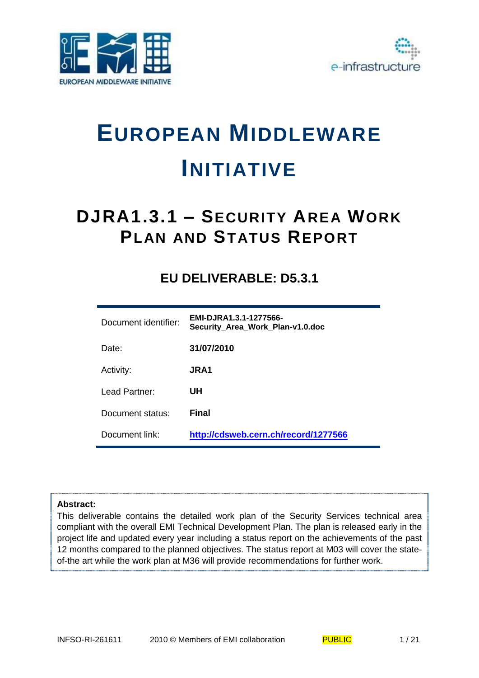



# **EUROPEAN MIDDLEWARE INITIATIVE**

## **DJRA1.3.1 – SECURITY AREA WORK PLAN AND STATUS REPORT**

### **EU DELIVERABLE: D5.3.1**

| Document identifier: | EMI-DJRA1.3.1-1277566-<br>Security_Area_Work_Plan-v1.0.doc |
|----------------------|------------------------------------------------------------|
| Date:                | 31/07/2010                                                 |
| Activity:            | JRA1                                                       |
| Lead Partner:        | UH                                                         |
| Document status:     | Final                                                      |
| Document link:       | http://cdsweb.cern.ch/record/1277566                       |

#### **Abstract:**

This deliverable contains the detailed work plan of the Security Services technical area compliant with the overall EMI Technical Development Plan. The plan is released early in the project life and updated every year including a status report on the achievements of the past 12 months compared to the planned objectives. The status report at M03 will cover the stateof-the art while the work plan at M36 will provide recommendations for further work.

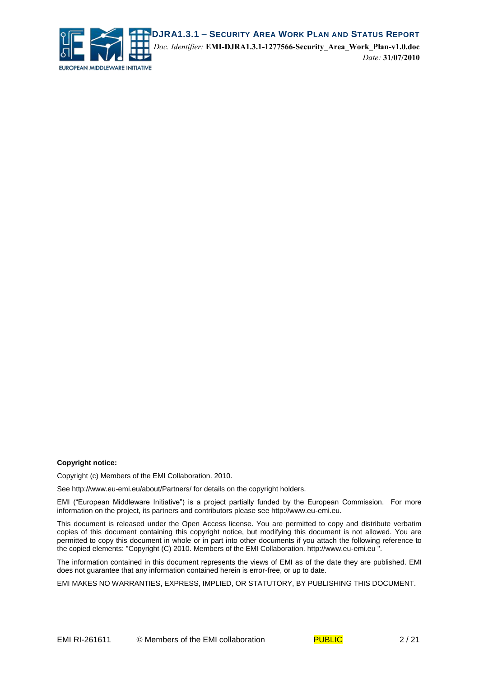

#### **Copyright notice:**

Copyright (c) Members of the EMI Collaboration. 2010.

See http://www.eu-emi.eu/about/Partners/ for details on the copyright holders.

EMI ("European Middleware Initiative") is a project partially funded by the European Commission. For more information on the project, its partners and contributors please see http://www.eu-emi.eu.

This document is released under the Open Access license. You are permitted to copy and distribute verbatim copies of this document containing this copyright notice, but modifying this document is not allowed. You are permitted to copy this document in whole or in part into other documents if you attach the following reference to the copied elements: "Copyright (C) 2010. Members of the EMI Collaboration. http://www.eu-emi.eu ".

The information contained in this document represents the views of EMI as of the date they are published. EMI does not guarantee that any information contained herein is error-free, or up to date.

EMI MAKES NO WARRANTIES, EXPRESS, IMPLIED, OR STATUTORY, BY PUBLISHING THIS DOCUMENT.

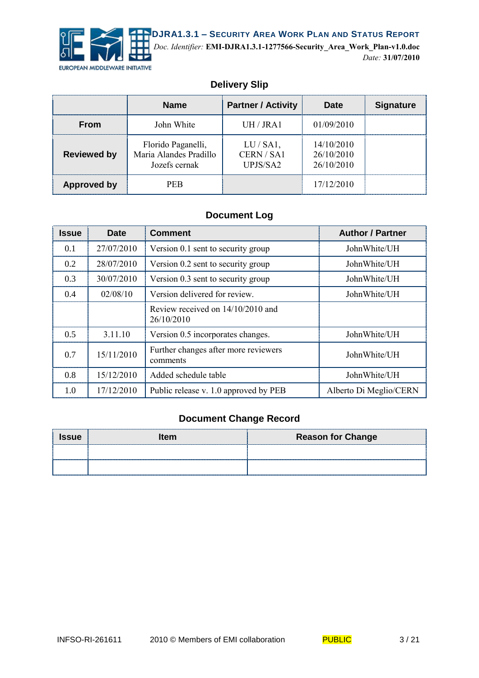

*Doc. Identifier:* **EMI-DJRA1.3.1-1277566-Security\_Area\_Work\_Plan-v1.0.doc** *Date:* **31/07/2010**

#### **Delivery Slip**

|                    | <b>Name</b>                                                   | <b>Partner / Activity</b>            | Date                                   | <b>Signature</b> |
|--------------------|---------------------------------------------------------------|--------------------------------------|----------------------------------------|------------------|
| <b>From</b>        | John White                                                    | UH / JRA1                            | 01/09/2010                             |                  |
| <b>Reviewed by</b> | Florido Paganelli,<br>Maria Alandes Pradillo<br>Jozefs cernak | $LU/SA1$ ,<br>CERN / SA1<br>UPJS/SA2 | 14/10/2010<br>26/10/2010<br>26/10/2010 |                  |
| <b>Approved by</b> | <b>PER</b>                                                    |                                      | 17/12/2010                             |                  |

#### **Document Log**

| <b>Issue</b> | <b>Date</b> | <b>Comment</b>                                   | <b>Author / Partner</b> |
|--------------|-------------|--------------------------------------------------|-------------------------|
| 0.1          | 27/07/2010  | Version 0.1 sent to security group               | John White/UH           |
| 0.2          | 28/07/2010  | Version 0.2 sent to security group               | JohnWhite/UH            |
| 0.3          | 30/07/2010  | Version 0.3 sent to security group               | JohnWhite/UH            |
| 0.4          | 02/08/10    | Version delivered for review.                    | JohnWhite/UH            |
|              |             | Review received on 14/10/2010 and<br>26/10/2010  |                         |
| 0.5          | 3.11.10     | Version 0.5 incorporates changes.                | JohnWhite/UH            |
| 0.7          | 15/11/2010  | Further changes after more reviewers<br>comments | JohnWhite/UH            |
| 0.8          | 15/12/2010  | Added schedule table                             | JohnWhite/UH            |
| 1.0          | 17/12/2010  | Public release v. 1.0 approved by PEB            | Alberto Di Meglio/CERN  |

#### **Document Change Record**

| <b>Issue</b> | <b>Item</b> | <b>Reason for Change</b>           |
|--------------|-------------|------------------------------------|
|              |             |                                    |
|              |             | ---------------------------------- |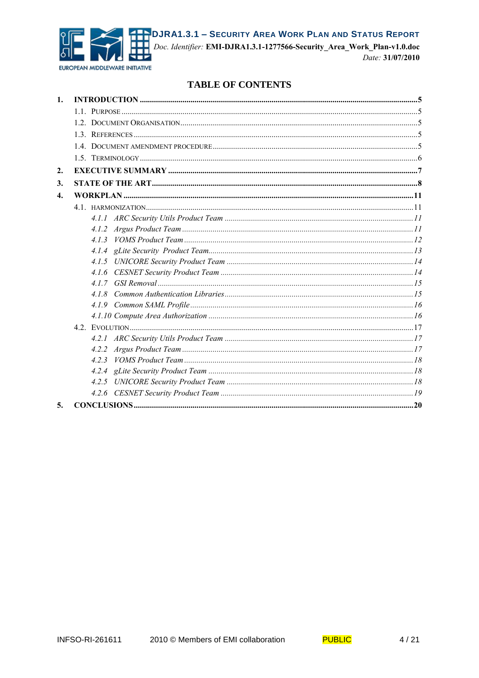

DJRA1.3.1 - SECURITY AREA WORK PLAN AND STATUS REPORT

Doc. Identifier: EMI-DJRA1.3.1-1277566-Security\_Area\_Work\_Plan-v1.0.doc

#### Date: 31/07/2010

#### **TABLE OF CONTENTS**

| 1.               |       |  |
|------------------|-------|--|
|                  |       |  |
|                  |       |  |
|                  |       |  |
|                  |       |  |
|                  |       |  |
| 2.               |       |  |
| 3.               |       |  |
| $\overline{4}$ . |       |  |
|                  |       |  |
|                  |       |  |
|                  |       |  |
|                  |       |  |
|                  |       |  |
|                  |       |  |
|                  |       |  |
|                  |       |  |
|                  | 418   |  |
|                  |       |  |
|                  |       |  |
|                  |       |  |
|                  |       |  |
|                  |       |  |
|                  | 4.2.3 |  |
|                  |       |  |
|                  |       |  |
|                  |       |  |
| 5.               |       |  |
|                  |       |  |

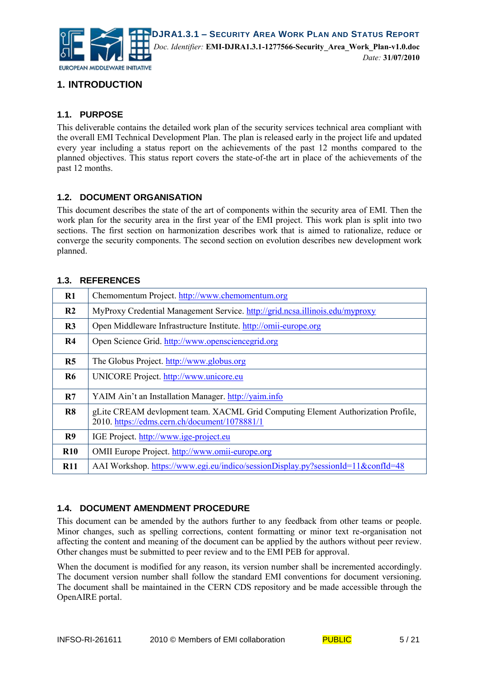

#### **1. INTRODUCTION**

#### **1.1. PURPOSE**

This deliverable contains the detailed work plan of the security services technical area compliant with the overall EMI Technical Development Plan. The plan is released early in the project life and updated every year including a status report on the achievements of the past 12 months compared to the planned objectives. This status report covers the state-of-the art in place of the achievements of the past 12 months.

#### **1.2. DOCUMENT ORGANISATION**

This document describes the state of the art of components within the security area of EMI. Then the work plan for the security area in the first year of the EMI project. This work plan is split into two sections. The first section on harmonization describes work that is aimed to rationalize, reduce or converge the security components. The second section on evolution describes new development work planned.

#### **1.3. REFERENCES**

| R1             | Chemomentum Project. http://www.chemomentum.org                                                                                   |
|----------------|-----------------------------------------------------------------------------------------------------------------------------------|
| R <sub>2</sub> | MyProxy Credential Management Service. http://grid.ncsa.illinois.edu/myproxy                                                      |
| R3             | Open Middleware Infrastructure Institute. http://omii-europe.org                                                                  |
| R4             | Open Science Grid. http://www.opensciencegrid.org                                                                                 |
| R <sub>5</sub> | The Globus Project. http://www.globus.org                                                                                         |
| <b>R6</b>      | UNICORE Project. http://www.unicore.eu                                                                                            |
| R7             | YAIM Ain't an Installation Manager. http://yaim.info                                                                              |
| R8             | gLite CREAM devlopment team. XACML Grid Computing Element Authorization Profile,<br>2010. https://edms.cern.ch/document/1078881/1 |
| R9             | IGE Project. http://www.ige-project.eu                                                                                            |
| $\mathbf{R}10$ | OMII Europe Project. http://www.omii-europe.org                                                                                   |
| <b>R11</b>     | AAI Workshop. https://www.egi.eu/indico/sessionDisplay.py?sessionId=11&confId=48                                                  |

#### **1.4. DOCUMENT AMENDMENT PROCEDURE**

This document can be amended by the authors further to any feedback from other teams or people. Minor changes, such as spelling corrections, content formatting or minor text re-organisation not affecting the content and meaning of the document can be applied by the authors without peer review. Other changes must be submitted to peer review and to the EMI PEB for approval.

When the document is modified for any reason, its version number shall be incremented accordingly. The document version number shall follow the standard EMI conventions for document versioning. The document shall be maintained in the CERN CDS repository and be made accessible through the OpenAIRE portal.

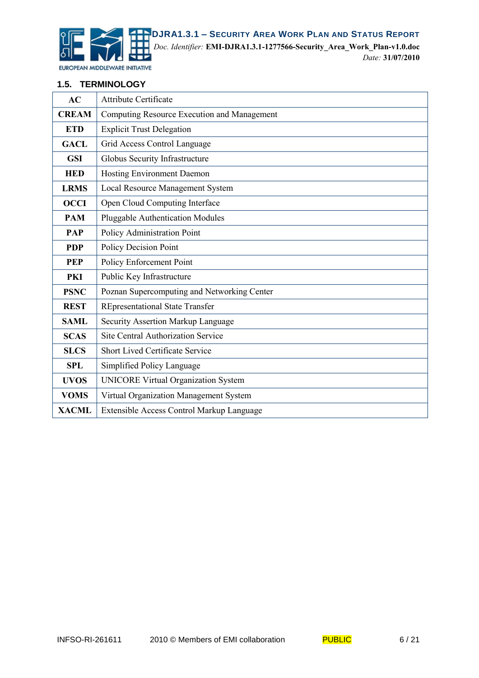

**DJRA1.3.1 – SECURITY AREA WORK PLAN AND STATUS REPORT** *Doc. Identifier:* **EMI-DJRA1.3.1-1277566-Security\_Area\_Work\_Plan-v1.0.doc** *Date:* **31/07/2010**

EUROPEAN MIDDLEWARE INITIATIVE

#### **1.5. TERMINOLOGY**

| AC           | <b>Attribute Certificate</b>                |  |  |
|--------------|---------------------------------------------|--|--|
| <b>CREAM</b> | Computing Resource Execution and Management |  |  |
| <b>ETD</b>   | <b>Explicit Trust Delegation</b>            |  |  |
| <b>GACL</b>  | Grid Access Control Language                |  |  |
| <b>GSI</b>   | Globus Security Infrastructure              |  |  |
| <b>HED</b>   | Hosting Environment Daemon                  |  |  |
| <b>LRMS</b>  | <b>Local Resource Management System</b>     |  |  |
| <b>OCCI</b>  | Open Cloud Computing Interface              |  |  |
| <b>PAM</b>   | <b>Pluggable Authentication Modules</b>     |  |  |
| <b>PAP</b>   | Policy Administration Point                 |  |  |
| <b>PDP</b>   | Policy Decision Point                       |  |  |
| <b>PEP</b>   | Policy Enforcement Point                    |  |  |
| PKI          | Public Key Infrastructure                   |  |  |
| <b>PSNC</b>  | Poznan Supercomputing and Networking Center |  |  |
| <b>REST</b>  | <b>REpresentational State Transfer</b>      |  |  |
| <b>SAML</b>  | <b>Security Assertion Markup Language</b>   |  |  |
| <b>SCAS</b>  | <b>Site Central Authorization Service</b>   |  |  |
| <b>SLCS</b>  | <b>Short Lived Certificate Service</b>      |  |  |
| <b>SPL</b>   | Simplified Policy Language                  |  |  |
| <b>UVOS</b>  | <b>UNICORE Virtual Organization System</b>  |  |  |
| <b>VOMS</b>  | Virtual Organization Management System      |  |  |
| <b>XACML</b> | Extensible Access Control Markup Language   |  |  |

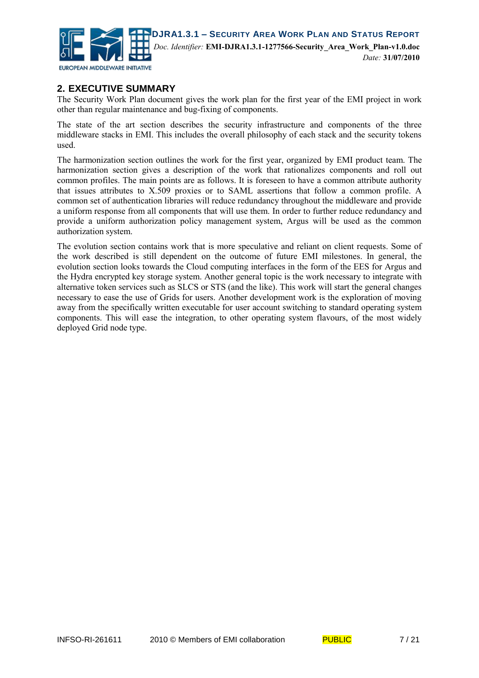

#### **2. EXECUTIVE SUMMARY**

The Security Work Plan document gives the work plan for the first year of the EMI project in work other than regular maintenance and bug-fixing of components.

The state of the art section describes the security infrastructure and components of the three middleware stacks in EMI. This includes the overall philosophy of each stack and the security tokens used.

The harmonization section outlines the work for the first year, organized by EMI product team. The harmonization section gives a description of the work that rationalizes components and roll out common profiles. The main points are as follows. It is foreseen to have a common attribute authority that issues attributes to X.509 proxies or to SAML assertions that follow a common profile. A common set of authentication libraries will reduce redundancy throughout the middleware and provide a uniform response from all components that will use them. In order to further reduce redundancy and provide a uniform authorization policy management system, Argus will be used as the common authorization system.

The evolution section contains work that is more speculative and reliant on client requests. Some of the work described is still dependent on the outcome of future EMI milestones. In general, the evolution section looks towards the Cloud computing interfaces in the form of the EES for Argus and the Hydra encrypted key storage system. Another general topic is the work necessary to integrate with alternative token services such as SLCS or STS (and the like). This work will start the general changes necessary to ease the use of Grids for users. Another development work is the exploration of moving away from the specifically written executable for user account switching to standard operating system components. This will ease the integration, to other operating system flavours, of the most widely deployed Grid node type.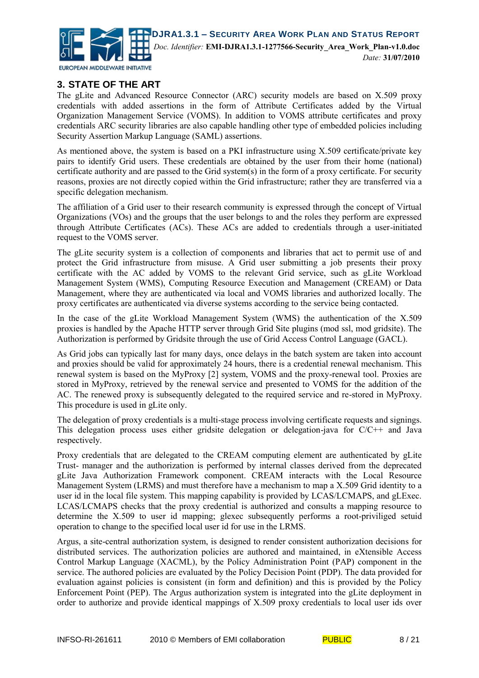

#### **3. STATE OF THE ART**

The gLite and Advanced Resource Connector (ARC) security models are based on X.509 proxy credentials with added assertions in the form of Attribute Certificates added by the Virtual Organization Management Service (VOMS). In addition to VOMS attribute certificates and proxy credentials ARC security libraries are also capable handling other type of embedded policies including Security Assertion Markup Language (SAML) assertions.

As mentioned above, the system is based on a PKI infrastructure using X.509 certificate/private key pairs to identify Grid users. These credentials are obtained by the user from their home (national) certificate authority and are passed to the Grid system(s) in the form of a proxy certificate. For security reasons, proxies are not directly copied within the Grid infrastructure; rather they are transferred via a specific delegation mechanism.

The affiliation of a Grid user to their research community is expressed through the concept of Virtual Organizations (VOs) and the groups that the user belongs to and the roles they perform are expressed through Attribute Certificates (ACs). These ACs are added to credentials through a user-initiated request to the VOMS server.

The gLite security system is a collection of components and libraries that act to permit use of and protect the Grid infrastructure from misuse. A Grid user submitting a job presents their proxy certificate with the AC added by VOMS to the relevant Grid service, such as gLite Workload Management System (WMS), Computing Resource Execution and Management (CREAM) or Data Management, where they are authenticated via local and VOMS libraries and authorized locally. The proxy certificates are authenticated via diverse systems according to the service being contacted.

In the case of the gLite Workload Management System (WMS) the authentication of the X.509 proxies is handled by the Apache HTTP server through Grid Site plugins (mod ssl, mod gridsite). The Authorization is performed by Gridsite through the use of Grid Access Control Language (GACL).

As Grid jobs can typically last for many days, once delays in the batch system are taken into account and proxies should be valid for approximately 24 hours, there is a credential renewal mechanism. This renewal system is based on the MyProxy [2] system, VOMS and the proxy-renewal tool. Proxies are stored in MyProxy, retrieved by the renewal service and presented to VOMS for the addition of the AC. The renewed proxy is subsequently delegated to the required service and re-stored in MyProxy. This procedure is used in gLite only.

The delegation of proxy credentials is a multi-stage process involving certificate requests and signings. This delegation process uses either gridsite delegation or delegation-java for C/C++ and Java respectively.

Proxy credentials that are delegated to the CREAM computing element are authenticated by gLite Trust- manager and the authorization is performed by internal classes derived from the deprecated gLite Java Authorization Framework component. CREAM interacts with the Local Resource Management System (LRMS) and must therefore have a mechanism to map a X.509 Grid identity to a user id in the local file system. This mapping capability is provided by LCAS/LCMAPS, and gLExec. LCAS/LCMAPS checks that the proxy credential is authorized and consults a mapping resource to determine the X.509 to user id mapping; glexec subsequently performs a root-priviliged setuid operation to change to the specified local user id for use in the LRMS.

Argus, a site-central authorization system, is designed to render consistent authorization decisions for distributed services. The authorization policies are authored and maintained, in eXtensible Access Control Markup Language (XACML), by the Policy Administration Point (PAP) component in the service. The authored policies are evaluated by the Policy Decision Point (PDP). The data provided for evaluation against policies is consistent (in form and definition) and this is provided by the Policy Enforcement Point (PEP). The Argus authorization system is integrated into the gLite deployment in order to authorize and provide identical mappings of X.509 proxy credentials to local user ids over

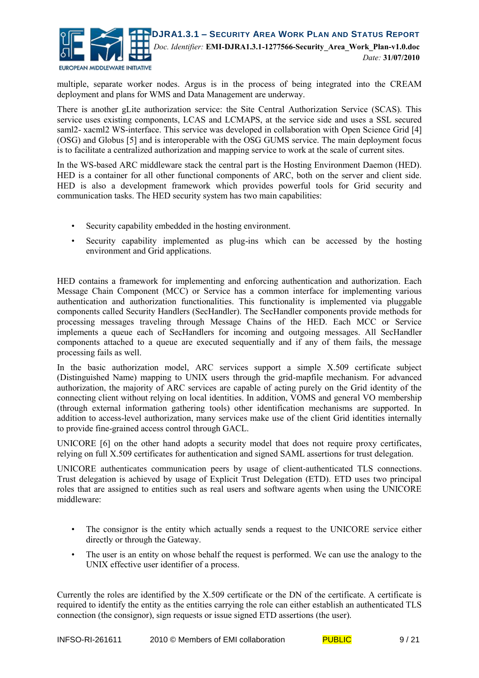

multiple, separate worker nodes. Argus is in the process of being integrated into the CREAM deployment and plans for WMS and Data Management are underway.

There is another gLite authorization service: the Site Central Authorization Service (SCAS). This service uses existing components, LCAS and LCMAPS, at the service side and uses a SSL secured saml2- xacml2 WS-interface. This service was developed in collaboration with Open Science Grid [4] (OSG) and Globus [5] and is interoperable with the OSG GUMS service. The main deployment focus is to facilitate a centralized authorization and mapping service to work at the scale of current sites.

In the WS-based ARC middleware stack the central part is the Hosting Environment Daemon (HED). HED is a container for all other functional components of ARC, both on the server and client side. HED is also a development framework which provides powerful tools for Grid security and communication tasks. The HED security system has two main capabilities:

- Security capability embedded in the hosting environment.
- Security capability implemented as plug-ins which can be accessed by the hosting environment and Grid applications.

HED contains a framework for implementing and enforcing authentication and authorization. Each Message Chain Component (MCC) or Service has a common interface for implementing various authentication and authorization functionalities. This functionality is implemented via pluggable components called Security Handlers (SecHandler). The SecHandler components provide methods for processing messages traveling through Message Chains of the HED. Each MCC or Service implements a queue each of SecHandlers for incoming and outgoing messages. All SecHandler components attached to a queue are executed sequentially and if any of them fails, the message processing fails as well.

In the basic authorization model, ARC services support a simple X.509 certificate subject (Distinguished Name) mapping to UNIX users through the grid-mapfile mechanism. For advanced authorization, the majority of ARC services are capable of acting purely on the Grid identity of the connecting client without relying on local identities. In addition, VOMS and general VO membership (through external information gathering tools) other identification mechanisms are supported. In addition to access-level authorization, many services make use of the client Grid identities internally to provide fine-grained access control through GACL.

UNICORE [6] on the other hand adopts a security model that does not require proxy certificates, relying on full X.509 certificates for authentication and signed SAML assertions for trust delegation.

UNICORE authenticates communication peers by usage of client-authenticated TLS connections. Trust delegation is achieved by usage of Explicit Trust Delegation (ETD). ETD uses two principal roles that are assigned to entities such as real users and software agents when using the UNICORE middleware:

- The consignor is the entity which actually sends a request to the UNICORE service either directly or through the Gateway.
- The user is an entity on whose behalf the request is performed. We can use the analogy to the UNIX effective user identifier of a process.

Currently the roles are identified by the X.509 certificate or the DN of the certificate. A certificate is required to identify the entity as the entities carrying the role can either establish an authenticated TLS connection (the consignor), sign requests or issue signed ETD assertions (the user).

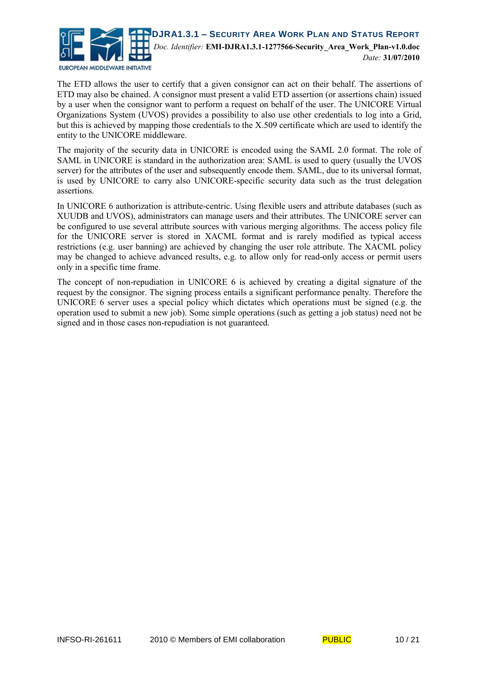

The ETD allows the user to certify that a given consignor can act on their behalf. The assertions of ETD may also be chained. A consignor must present a valid ETD assertion (or assertions chain) issued by a user when the consignor want to perform a request on behalf of the user. The UNICORE Virtual Organizations System (UVOS) provides a possibility to also use other credentials to log into a Grid, but this is achieved by mapping those credentials to the X.509 certificate which are used to identify the entity to the UNICORE middleware.

The majority of the security data in UNICORE is encoded using the SAML 2.0 format. The role of SAML in UNICORE is standard in the authorization area: SAML is used to query (usually the UVOS server) for the attributes of the user and subsequently encode them. SAML, due to its universal format, is used by UNICORE to carry also UNICORE-specific security data such as the trust delegation assertions.

In UNICORE 6 authorization is attribute-centric. Using flexible users and attribute databases (such as XUUDB and UVOS), administrators can manage users and their attributes. The UNICORE server can be configured to use several attribute sources with various merging algorithms. The access policy file for the UNICORE server is stored in XACML format and is rarely modified as typical access restrictions (e.g. user banning) are achieved by changing the user role attribute. The XACML policy may be changed to achieve advanced results, e.g. to allow only for read-only access or permit users only in a specific time frame.

The concept of non-repudiation in UNICORE 6 is achieved by creating a digital signature of the request by the consignor. The signing process entails a significant performance penalty. Therefore the UNICORE 6 server uses a special policy which dictates which operations must be signed (e.g. the operation used to submit a new job). Some simple operations (such as getting a job status) need not be signed and in those cases non-repudiation is not guaranteed.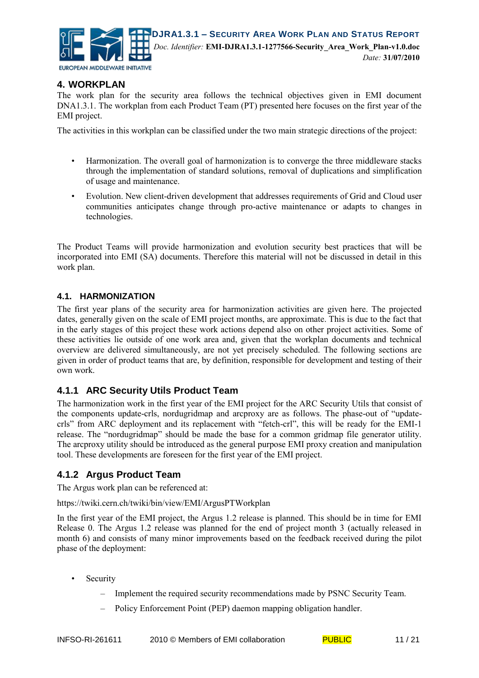

#### **4. WORKPLAN**

The work plan for the security area follows the technical objectives given in EMI document DNA1.3.1. The workplan from each Product Team (PT) presented here focuses on the first year of the EMI project.

The activities in this workplan can be classified under the two main strategic directions of the project:

- Harmonization. The overall goal of harmonization is to converge the three middleware stacks through the implementation of standard solutions, removal of duplications and simplification of usage and maintenance.
- Evolution. New client-driven development that addresses requirements of Grid and Cloud user communities anticipates change through pro-active maintenance or adapts to changes in technologies.

The Product Teams will provide harmonization and evolution security best practices that will be incorporated into EMI (SA) documents. Therefore this material will not be discussed in detail in this work plan.

#### **4.1. HARMONIZATION**

The first year plans of the security area for harmonization activities are given here. The projected dates, generally given on the scale of EMI project months, are approximate. This is due to the fact that in the early stages of this project these work actions depend also on other project activities. Some of these activities lie outside of one work area and, given that the workplan documents and technical overview are delivered simultaneously, are not yet precisely scheduled. The following sections are given in order of product teams that are, by definition, responsible for development and testing of their own work.

#### **4.1.1 ARC Security Utils Product Team**

The harmonization work in the first year of the EMI project for the ARC Security Utils that consist of the components update-crls, nordugridmap and arcproxy are as follows. The phase-out of "updatecrls" from ARC deployment and its replacement with "fetch-crl", this will be ready for the EMI-1 release. The "nordugridmap" should be made the base for a common gridmap file generator utility. The arcproxy utility should be introduced as the general purpose EMI proxy creation and manipulation tool. These developments are foreseen for the first year of the EMI project.

#### **4.1.2 Argus Product Team**

The Argus work plan can be referenced at:

https://twiki.cern.ch/twiki/bin/view/EMI/ArgusPTWorkplan

In the first year of the EMI project, the Argus 1.2 release is planned. This should be in time for EMI Release 0. The Argus 1.2 release was planned for the end of project month 3 (actually released in month 6) and consists of many minor improvements based on the feedback received during the pilot phase of the deployment:

- **Security** 
	- Implement the required security recommendations made by PSNC Security Team.
	- Policy Enforcement Point (PEP) daemon mapping obligation handler.

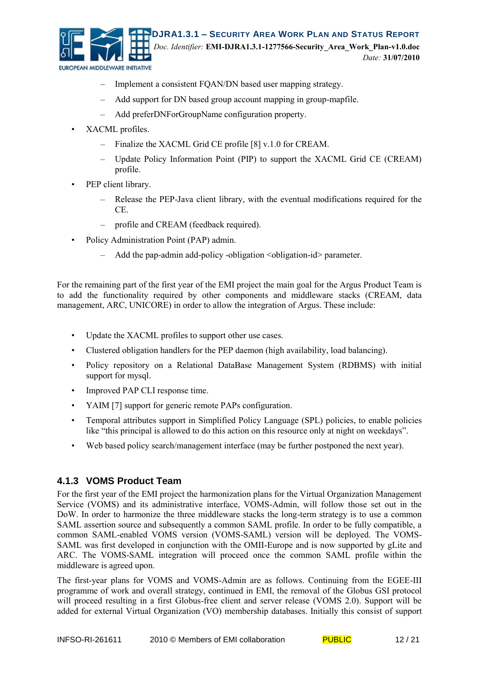

- Implement a consistent FQAN/DN based user mapping strategy.
- Add support for DN based group account mapping in group-mapfile.
- Add preferDNForGroupName configuration property.
- XACML profiles.
	- Finalize the XACML Grid CE profile [8] v.1.0 for CREAM.
	- Update Policy Information Point (PIP) to support the XACML Grid CE (CREAM) profile.
- PEP client library.
	- Release the PEP-Java client library, with the eventual modifications required for the CE.
	- profile and CREAM (feedback required).
- Policy Administration Point (PAP) admin.
	- Add the pap-admin add-policy -obligation <obligation-id> parameter.

For the remaining part of the first year of the EMI project the main goal for the Argus Product Team is to add the functionality required by other components and middleware stacks (CREAM, data management, ARC, UNICORE) in order to allow the integration of Argus. These include:

- Update the XACML profiles to support other use cases.
- Clustered obligation handlers for the PEP daemon (high availability, load balancing).
- Policy repository on a Relational DataBase Management System (RDBMS) with initial support for mysql.
- Improved PAP CLI response time.
- YAIM [7] support for generic remote PAPs configuration.
- Temporal attributes support in Simplified Policy Language (SPL) policies, to enable policies like "this principal is allowed to do this action on this resource only at night on weekdays".
- Web based policy search/management interface (may be further postponed the next year).

#### **4.1.3 VOMS Product Team**

For the first year of the EMI project the harmonization plans for the Virtual Organization Management Service (VOMS) and its administrative interface, VOMS-Admin, will follow those set out in the DoW. In order to harmonize the three middleware stacks the long-term strategy is to use a common SAML assertion source and subsequently a common SAML profile. In order to be fully compatible, a common SAML-enabled VOMS version (VOMS-SAML) version will be deployed. The VOMS-SAML was first developed in conjunction with the OMII-Europe and is now supported by gLite and ARC. The VOMS-SAML integration will proceed once the common SAML profile within the middleware is agreed upon.

The first-year plans for VOMS and VOMS-Admin are as follows. Continuing from the EGEE-III programme of work and overall strategy, continued in EMI, the removal of the Globus GSI protocol will proceed resulting in a first Globus-free client and server release (VOMS 2.0). Support will be added for external Virtual Organization (VO) membership databases. Initially this consist of support

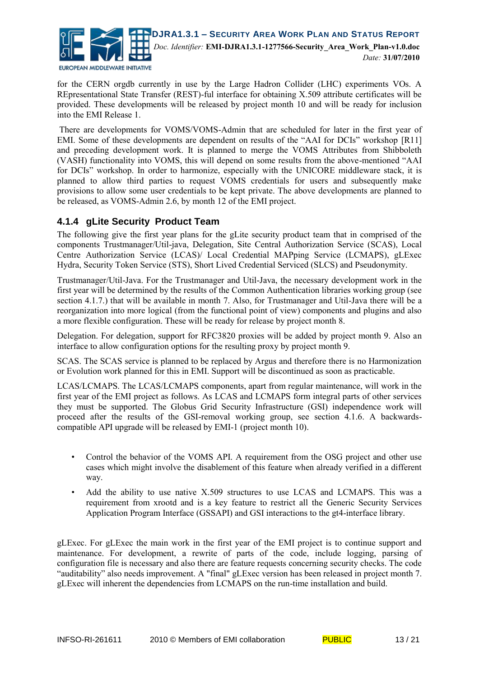

for the CERN orgdb currently in use by the Large Hadron Collider (LHC) experiments VOs. A REpresentational State Transfer (REST)-ful interface for obtaining X.509 attribute certificates will be provided. These developments will be released by project month 10 and will be ready for inclusion into the EMI Release 1.

There are developments for VOMS/VOMS-Admin that are scheduled for later in the first year of EMI. Some of these developments are dependent on results of the "AAI for DCIs" workshop [R11] and preceding development work. It is planned to merge the VOMS Attributes from Shibboleth (VASH) functionality into VOMS, this will depend on some results from the above-mentioned "AAI for DCIs" workshop. In order to harmonize, especially with the UNICORE middleware stack, it is planned to allow third parties to request VOMS credentials for users and subsequently make provisions to allow some user credentials to be kept private. The above developments are planned to be released, as VOMS-Admin 2.6, by month 12 of the EMI project.

#### **4.1.4 gLite Security Product Team**

The following give the first year plans for the gLite security product team that in comprised of the components Trustmanager/Util-java, Delegation, Site Central Authorization Service (SCAS), Local Centre Authorization Service (LCAS)/ Local Credential MAPping Service (LCMAPS), gLExec Hydra, Security Token Service (STS), Short Lived Credential Serviced (SLCS) and Pseudonymity.

Trustmanager/Util-Java. For the Trustmanager and Util-Java, the necessary development work in the first year will be determined by the results of the Common Authentication libraries working group (see section 4.1.7.) that will be available in month 7. Also, for Trustmanager and Util-Java there will be a reorganization into more logical (from the functional point of view) components and plugins and also a more flexible configuration. These will be ready for release by project month 8.

Delegation. For delegation, support for RFC3820 proxies will be added by project month 9. Also an interface to allow configuration options for the resulting proxy by project month 9.

SCAS. The SCAS service is planned to be replaced by Argus and therefore there is no Harmonization or Evolution work planned for this in EMI. Support will be discontinued as soon as practicable.

LCAS/LCMAPS. The LCAS/LCMAPS components, apart from regular maintenance, will work in the first year of the EMI project as follows. As LCAS and LCMAPS form integral parts of other services they must be supported. The Globus Grid Security Infrastructure (GSI) independence work will proceed after the results of the GSI-removal working group, see section 4.1.6. A backwardscompatible API upgrade will be released by EMI-1 (project month 10).

- Control the behavior of the VOMS API. A requirement from the OSG project and other use cases which might involve the disablement of this feature when already verified in a different way.
- Add the ability to use native X.509 structures to use LCAS and LCMAPS. This was a requirement from xrootd and is a key feature to restrict all the Generic Security Services Application Program Interface (GSSAPI) and GSI interactions to the gt4-interface library.

gLExec. For gLExec the main work in the first year of the EMI project is to continue support and maintenance. For development, a rewrite of parts of the code, include logging, parsing of configuration file is necessary and also there are feature requests concerning security checks. The code "auditability" also needs improvement. A "final" gLExec version has been released in project month 7. gLExec will inherent the dependencies from LCMAPS on the run-time installation and build.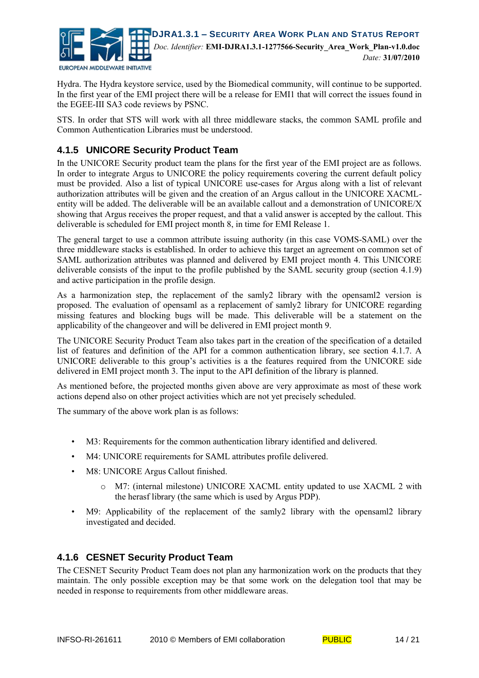

Hydra. The Hydra keystore service, used by the Biomedical community, will continue to be supported. In the first year of the EMI project there will be a release for EMI1 that will correct the issues found in the EGEE-III SA3 code reviews by PSNC.

STS. In order that STS will work with all three middleware stacks, the common SAML profile and Common Authentication Libraries must be understood.

#### **4.1.5 UNICORE Security Product Team**

In the UNICORE Security product team the plans for the first year of the EMI project are as follows. In order to integrate Argus to UNICORE the policy requirements covering the current default policy must be provided. Also a list of typical UNICORE use-cases for Argus along with a list of relevant authorization attributes will be given and the creation of an Argus callout in the UNICORE XACMLentity will be added. The deliverable will be an available callout and a demonstration of UNICORE/X showing that Argus receives the proper request, and that a valid answer is accepted by the callout. This deliverable is scheduled for EMI project month 8, in time for EMI Release 1.

The general target to use a common attribute issuing authority (in this case VOMS-SAML) over the three middleware stacks is established. In order to achieve this target an agreement on common set of SAML authorization attributes was planned and delivered by EMI project month 4. This UNICORE deliverable consists of the input to the profile published by the SAML security group (section 4.1.9) and active participation in the profile design.

As a harmonization step, the replacement of the samly2 library with the opensaml2 version is proposed. The evaluation of opensaml as a replacement of samly2 library for UNICORE regarding missing features and blocking bugs will be made. This deliverable will be a statement on the applicability of the changeover and will be delivered in EMI project month 9.

The UNICORE Security Product Team also takes part in the creation of the specification of a detailed list of features and definition of the API for a common authentication library, see section 4.1.7. A UNICORE deliverable to this group's activities is a the features required from the UNICORE side delivered in EMI project month 3. The input to the API definition of the library is planned.

As mentioned before, the projected months given above are very approximate as most of these work actions depend also on other project activities which are not yet precisely scheduled.

The summary of the above work plan is as follows:

- M3: Requirements for the common authentication library identified and delivered.
- M4: UNICORE requirements for SAML attributes profile delivered.
- M8: UNICORE Argus Callout finished.
	- o M7: (internal milestone) UNICORE XACML entity updated to use XACML 2 with the herasf library (the same which is used by Argus PDP).
- M9: Applicability of the replacement of the samly2 library with the opensaml2 library investigated and decided.

#### **4.1.6 CESNET Security Product Team**

The CESNET Security Product Team does not plan any harmonization work on the products that they maintain. The only possible exception may be that some work on the delegation tool that may be needed in response to requirements from other middleware areas.

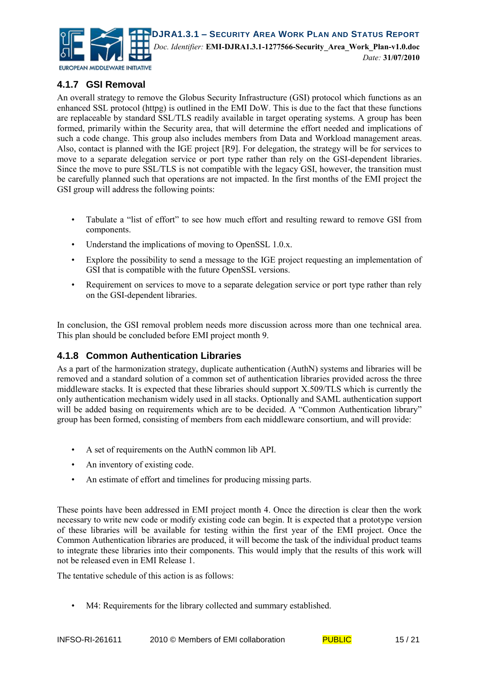

#### **4.1.7 GSI Removal**

An overall strategy to remove the Globus Security Infrastructure (GSI) protocol which functions as an enhanced SSL protocol (httpg) is outlined in the EMI DoW. This is due to the fact that these functions are replaceable by standard SSL/TLS readily available in target operating systems. A group has been formed, primarily within the Security area, that will determine the effort needed and implications of such a code change. This group also includes members from Data and Workload management areas. Also, contact is planned with the IGE project [R9]. For delegation, the strategy will be for services to move to a separate delegation service or port type rather than rely on the GSI-dependent libraries. Since the move to pure SSL/TLS is not compatible with the legacy GSI, however, the transition must be carefully planned such that operations are not impacted. In the first months of the EMI project the GSI group will address the following points:

- Tabulate a "list of effort" to see how much effort and resulting reward to remove GSI from components.
- Understand the implications of moving to OpenSSL 1.0.x.
- Explore the possibility to send a message to the IGE project requesting an implementation of GSI that is compatible with the future OpenSSL versions.
- Requirement on services to move to a separate delegation service or port type rather than rely on the GSI-dependent libraries.

In conclusion, the GSI removal problem needs more discussion across more than one technical area. This plan should be concluded before EMI project month 9.

#### **4.1.8 Common Authentication Libraries**

As a part of the harmonization strategy, duplicate authentication (AuthN) systems and libraries will be removed and a standard solution of a common set of authentication libraries provided across the three middleware stacks. It is expected that these libraries should support X.509/TLS which is currently the only authentication mechanism widely used in all stacks. Optionally and SAML authentication support will be added basing on requirements which are to be decided. A "Common Authentication library" group has been formed, consisting of members from each middleware consortium, and will provide:

- A set of requirements on the AuthN common lib API.
- An inventory of existing code.
- An estimate of effort and timelines for producing missing parts.

These points have been addressed in EMI project month 4. Once the direction is clear then the work necessary to write new code or modify existing code can begin. It is expected that a prototype version of these libraries will be available for testing within the first year of the EMI project. Once the Common Authentication libraries are produced, it will become the task of the individual product teams to integrate these libraries into their components. This would imply that the results of this work will not be released even in EMI Release 1.

The tentative schedule of this action is as follows:

• M4: Requirements for the library collected and summary established.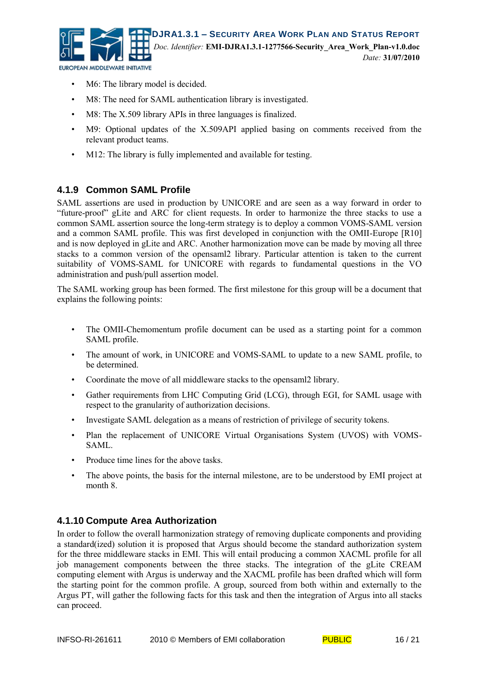

- M6: The library model is decided.
- M8: The need for SAML authentication library is investigated.
- M8: The X.509 library APIs in three languages is finalized.
- M9: Optional updates of the X.509API applied basing on comments received from the relevant product teams.
- M12: The library is fully implemented and available for testing.

#### **4.1.9 Common SAML Profile**

SAML assertions are used in production by UNICORE and are seen as a way forward in order to "future-proof" gLite and ARC for client requests. In order to harmonize the three stacks to use a common SAML assertion source the long-term strategy is to deploy a common VOMS-SAML version and a common SAML profile. This was first developed in conjunction with the OMII-Europe [R10] and is now deployed in gLite and ARC. Another harmonization move can be made by moving all three stacks to a common version of the opensaml2 library. Particular attention is taken to the current suitability of VOMS-SAML for UNICORE with regards to fundamental questions in the VO administration and push/pull assertion model.

The SAML working group has been formed. The first milestone for this group will be a document that explains the following points:

- The OMII-Chemomentum profile document can be used as a starting point for a common SAML profile.
- The amount of work, in UNICORE and VOMS-SAML to update to a new SAML profile, to be determined.
- Coordinate the move of all middleware stacks to the opensaml2 library.
- Gather requirements from LHC Computing Grid (LCG), through EGI, for SAML usage with respect to the granularity of authorization decisions.
- Investigate SAML delegation as a means of restriction of privilege of security tokens.
- Plan the replacement of UNICORE Virtual Organisations System (UVOS) with VOMS-SAML.
- Produce time lines for the above tasks.
- The above points, the basis for the internal milestone, are to be understood by EMI project at month 8.

#### **4.1.10 Compute Area Authorization**

In order to follow the overall harmonization strategy of removing duplicate components and providing a standard(ized) solution it is proposed that Argus should become the standard authorization system for the three middleware stacks in EMI. This will entail producing a common XACML profile for all job management components between the three stacks. The integration of the gLite CREAM computing element with Argus is underway and the XACML profile has been drafted which will form the starting point for the common profile. A group, sourced from both within and externally to the Argus PT, will gather the following facts for this task and then the integration of Argus into all stacks can proceed.

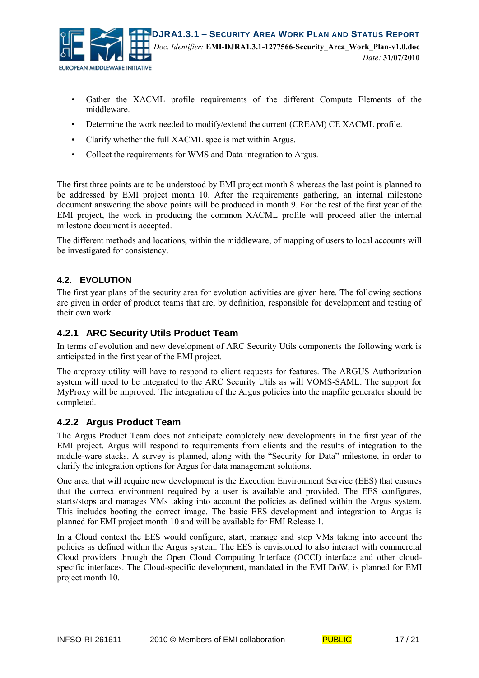

- Gather the XACML profile requirements of the different Compute Elements of the middleware.
- Determine the work needed to modify/extend the current (CREAM) CE XACML profile.
- Clarify whether the full XACML spec is met within Argus.
- Collect the requirements for WMS and Data integration to Argus.

The first three points are to be understood by EMI project month 8 whereas the last point is planned to be addressed by EMI project month 10. After the requirements gathering, an internal milestone document answering the above points will be produced in month 9. For the rest of the first year of the EMI project, the work in producing the common XACML profile will proceed after the internal milestone document is accepted.

The different methods and locations, within the middleware, of mapping of users to local accounts will be investigated for consistency.

#### **4.2. EVOLUTION**

The first year plans of the security area for evolution activities are given here. The following sections are given in order of product teams that are, by definition, responsible for development and testing of their own work.

#### **4.2.1 ARC Security Utils Product Team**

In terms of evolution and new development of ARC Security Utils components the following work is anticipated in the first year of the EMI project.

The arcproxy utility will have to respond to client requests for features. The ARGUS Authorization system will need to be integrated to the ARC Security Utils as will VOMS-SAML. The support for MyProxy will be improved. The integration of the Argus policies into the mapfile generator should be completed.

#### **4.2.2 Argus Product Team**

The Argus Product Team does not anticipate completely new developments in the first year of the EMI project. Argus will respond to requirements from clients and the results of integration to the middle-ware stacks. A survey is planned, along with the "Security for Data" milestone, in order to clarify the integration options for Argus for data management solutions.

One area that will require new development is the Execution Environment Service (EES) that ensures that the correct environment required by a user is available and provided. The EES configures, starts/stops and manages VMs taking into account the policies as defined within the Argus system. This includes booting the correct image. The basic EES development and integration to Argus is planned for EMI project month 10 and will be available for EMI Release 1.

In a Cloud context the EES would configure, start, manage and stop VMs taking into account the policies as defined within the Argus system. The EES is envisioned to also interact with commercial Cloud providers through the Open Cloud Computing Interface (OCCI) interface and other cloudspecific interfaces. The Cloud-specific development, mandated in the EMI DoW, is planned for EMI project month 10.

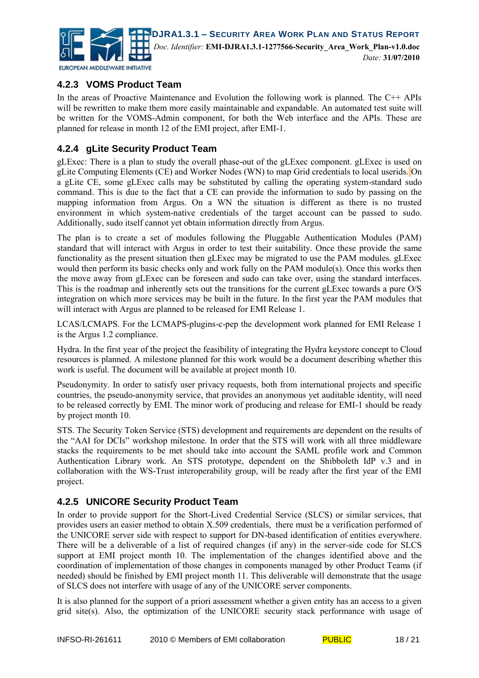

#### **4.2.3 VOMS Product Team**

In the areas of Proactive Maintenance and Evolution the following work is planned. The C++ APIs will be rewritten to make them more easily maintainable and expandable. An automated test suite will be written for the VOMS-Admin component, for both the Web interface and the APIs. These are planned for release in month 12 of the EMI project, after EMI-1.

#### **4.2.4 gLite Security Product Team**

gLExec: There is a plan to study the overall phase-out of the gLExec component. gLExec is used on gLite Computing Elements (CE) and Worker Nodes (WN) to map Grid credentials to local userids. On a gLite CE, some gLExec calls may be substituted by calling the operating system-standard sudo command. This is due to the fact that a CE can provide the information to sudo by passing on the mapping information from Argus. On a WN the situation is different as there is no trusted environment in which system-native credentials of the target account can be passed to sudo. Additionally, sudo itself cannot yet obtain information directly from Argus.

The plan is to create a set of modules following the Pluggable Authentication Modules (PAM) standard that will interact with Argus in order to test their suitability. Once these provide the same functionality as the present situation then gLExec may be migrated to use the PAM modules. gLExec would then perform its basic checks only and work fully on the PAM module(s). Once this works then the move away from gLExec can be foreseen and sudo can take over, using the standard interfaces. This is the roadmap and inherently sets out the transitions for the current gLExec towards a pure O/S integration on which more services may be built in the future. In the first year the PAM modules that will interact with Argus are planned to be released for EMI Release 1.

LCAS/LCMAPS. For the LCMAPS-plugins-c-pep the development work planned for EMI Release 1 is the Argus 1.2 compliance.

Hydra. In the first year of the project the feasibility of integrating the Hydra keystore concept to Cloud resources is planned. A milestone planned for this work would be a document describing whether this work is useful. The document will be available at project month 10.

Pseudonymity. In order to satisfy user privacy requests, both from international projects and specific countries, the pseudo-anonymity service, that provides an anonymous yet auditable identity, will need to be released correctly by EMI. The minor work of producing and release for EMI-1 should be ready by project month 10.

STS. The Security Token Service (STS) development and requirements are dependent on the results of the "AAI for DCIs" workshop milestone. In order that the STS will work with all three middleware stacks the requirements to be met should take into account the SAML profile work and Common Authentication Library work. An STS prototype, dependent on the Shibboleth IdP v.3 and in collaboration with the WS-Trust interoperability group, will be ready after the first year of the EMI project.

#### **4.2.5 UNICORE Security Product Team**

In order to provide support for the Short-Lived Credential Service (SLCS) or similar services, that provides users an easier method to obtain X.509 credentials, there must be a verification performed of the UNICORE server side with respect to support for DN-based identification of entities everywhere. There will be a deliverable of a list of required changes (if any) in the server-side code for SLCS support at EMI project month 10. The implementation of the changes identified above and the coordination of implementation of those changes in components managed by other Product Teams (if needed) should be finished by EMI project month 11. This deliverable will demonstrate that the usage of SLCS does not interfere with usage of any of the UNICORE server components.

It is also planned for the support of a priori assessment whether a given entity has an access to a given grid site(s). Also, the optimization of the UNICORE security stack performance with usage of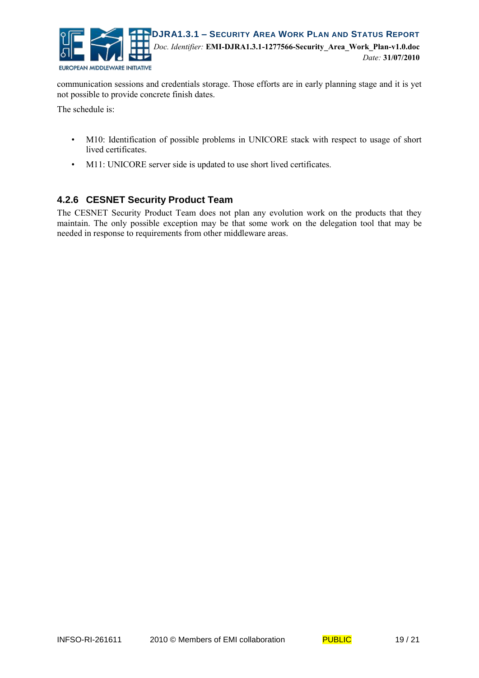

communication sessions and credentials storage. Those efforts are in early planning stage and it is yet not possible to provide concrete finish dates.

The schedule is:

- M10: Identification of possible problems in UNICORE stack with respect to usage of short lived certificates.
- M11: UNICORE server side is updated to use short lived certificates.

#### **4.2.6 CESNET Security Product Team**

The CESNET Security Product Team does not plan any evolution work on the products that they maintain. The only possible exception may be that some work on the delegation tool that may be needed in response to requirements from other middleware areas.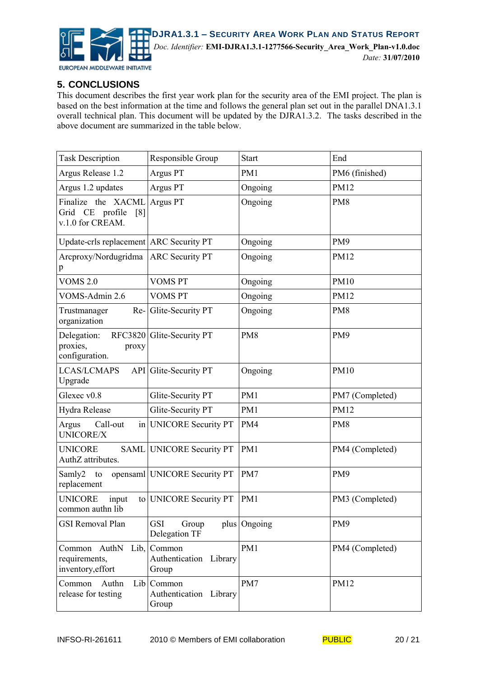

#### **5. CONCLUSIONS**

This document describes the first year work plan for the security area of the EMI project. The plan is based on the best information at the time and follows the general plan set out in the parallel DNA1.3.1 overall technical plan. This document will be updated by the DJRA1.3.2. The tasks described in the above document are summarized in the table below.

| <b>Task Description</b>                                                           | Responsible Group                               | <b>Start</b>    | End             |
|-----------------------------------------------------------------------------------|-------------------------------------------------|-----------------|-----------------|
| Argus Release 1.2                                                                 | Argus PT                                        | PM1             | PM6 (finished)  |
| Argus 1.2 updates                                                                 | Argus PT                                        | Ongoing         | PM12            |
| Finalize the XACML<br>Grid CE<br>profile<br>$\lceil 8 \rceil$<br>v.1.0 for CREAM. | Argus PT                                        | Ongoing         | PM8             |
| Update-crls replacement ARC Security PT                                           |                                                 | Ongoing         | PM9             |
| Arcproxy/Nordugridma<br>p                                                         | <b>ARC Security PT</b>                          | Ongoing         | PM12            |
| <b>VOMS 2.0</b>                                                                   | <b>VOMS PT</b>                                  | Ongoing         | <b>PM10</b>     |
| VOMS-Admin 2.6                                                                    | <b>VOMS PT</b>                                  | Ongoing         | <b>PM12</b>     |
| Trustmanager<br>$Re-$<br>organization                                             | Glite-Security PT                               | Ongoing         | PM8             |
| Delegation:<br>proxies,<br>proxy<br>configuration.                                | RFC3820 Glite-Security PT                       | PM <sub>8</sub> | PM9             |
| <b>LCAS/LCMAPS</b><br>Upgrade                                                     | API Glite-Security PT                           | Ongoing         | <b>PM10</b>     |
| Glexec v0.8                                                                       | Glite-Security PT                               | PM1             | PM7 (Completed) |
| Hydra Release                                                                     | Glite-Security PT                               | PM1             | <b>PM12</b>     |
| Argus<br>Call-out<br>UNICORE/X                                                    | in UNICORE Security PT                          | PM4             | PM <sub>8</sub> |
| <b>UNICORE</b><br><b>SAML</b><br>AuthZ attributes.                                | <b>UNICORE Security PT</b>                      | PM1             | PM4 (Completed) |
| Samly2<br>to<br>replacement                                                       | opensaml UNICORE Security PT                    | PM7             | PM <sub>9</sub> |
| <b>UNICORE</b><br>input<br>common authn lib                                       | to UNICORE Security PT                          | PM1             | PM3 (Completed) |
| <b>GSI Removal Plan</b>                                                           | GSI<br>Group<br>Delegation TF                   | plus Ongoing    | PM9             |
| Common<br>AuthN<br>requirements,<br>inventory, effort                             | Lib,  Common<br>Authentication Library<br>Group | PM1             | PM4 (Completed) |
| Common<br>Authn<br>release for testing                                            | Lib Common<br>Authentication Library<br>Group   | PM7             | <b>PM12</b>     |